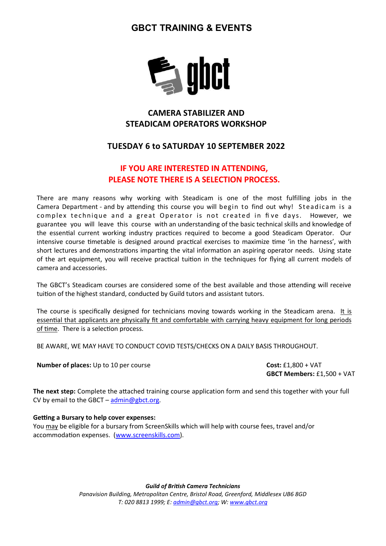# GBCT TRAINING & EVENTS



# CAMERA STABILIZER AND STEADICAM OPERATORS WORKSHOP

### TUESDAY 6 to SATURDAY 10 SEPTEMBER 2022

## IF YOU ARE INTERESTED IN ATTENDING, PLEASE NOTE THERE IS A SELECTION PROCESS.

There are many reasons why working with Steadicam is one of the most fulfilling jobs in the Camera Department - and by attending this course you will begin to find out why! Steadicam is a complex technique and a great Operator is not created in five days. However, we guarantee you will leave this course with an understanding of the basic technical skills and knowledge of the essential current working industry practices required to become a good Steadicam Operator. Our intensive course timetable is designed around practical exercises to maximize time 'in the harness', with short lectures and demonstrations imparting the vital information an aspiring operator needs. Using state of the art equipment, you will receive practical tuition in the techniques for flying all current models of camera and accessories.

The GBCT's Steadicam courses are considered some of the best available and those attending will receive tuition of the highest standard, conducted by Guild tutors and assistant tutors.

The course is specifically designed for technicians moving towards working in the Steadicam arena. It is essential that applicants are physically fit and comfortable with carrying heavy equipment for long periods of time. There is a selection process.

BE AWARE, WE MAY HAVE TO CONDUCT COVID TESTS/CHECKS ON A DAILY BASIS THROUGHOUT.

Number of places: Up to 10 per course Cost: £1,800 + VAT

GBCT Members: £1,500 + VAT

The next step: Complete the attached training course application form and send this together with your full CV by email to the GBCT –  $\frac{\text{admin@gbct.org}}{\text{admin@gbct.org}}$ .

#### Getting a Bursary to help cover expenses:

You may be eligible for a bursary from ScreenSkills which will help with course fees, travel and/or accommodation expenses. (www.screenskills.com).

> **Guild of British Camera Technicians** Panavision Building, Metropolitan Centre, Bristol Road, Greenford, Middlesex UB6 8GD T: 020 8813 1999; E: admin@gbct.org; W: www.gbct.org